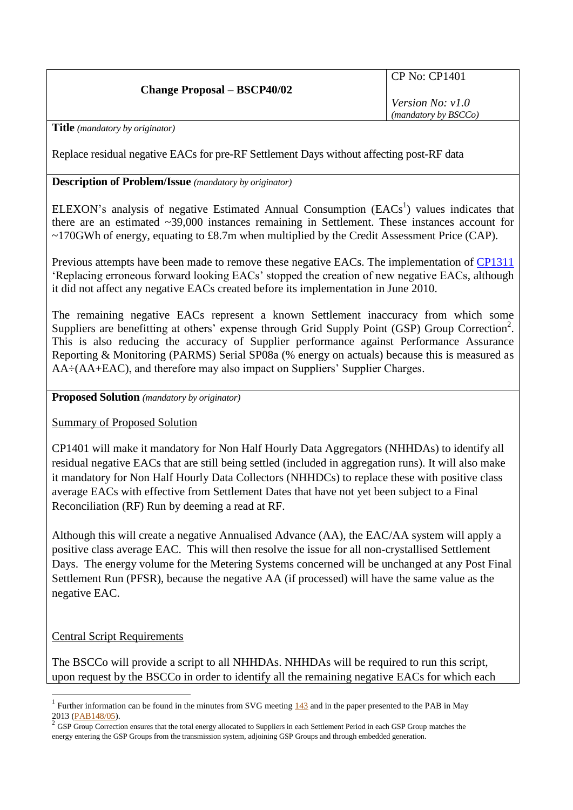### **Change Proposal – BSCP40/02**

CP No: CP1401

*Version No: v1.0 (mandatory by BSCCo)*

**Title** *(mandatory by originator)*

Replace residual negative EACs for pre-RF Settlement Days without affecting post-RF data

#### **Description of Problem/Issue** *(mandatory by originator)*

ELEXON's analysis of negative Estimated Annual Consumption  $(EACs<sup>1</sup>)$  values indicates that there are an estimated ~39,000 instances remaining in Settlement. These instances account for ~170GWh of energy, equating to £8.7m when multiplied by the Credit Assessment Price (CAP).

Previous attempts have been made to remove these negative EACs. The implementation of [CP1311](http://www.elexon.co.uk/change-proposal/cp1311-replacing-erroneous-forward-looking-eac/) 'Replacing erroneous forward looking EACs' stopped the creation of new negative EACs, although it did not affect any negative EACs created before its implementation in June 2010.

The remaining negative EACs represent a known Settlement inaccuracy from which some Suppliers are benefitting at others' expense through Grid Supply Point (GSP) Group Correction<sup>2</sup>. This is also reducing the accuracy of Supplier performance against Performance Assurance Reporting & Monitoring (PARMS) Serial SP08a (% energy on actuals) because this is measured as AA÷(AA+EAC), and therefore may also impact on Suppliers' Supplier Charges.

**Proposed Solution** *(mandatory by originator)*

Summary of Proposed Solution

CP1401 will make it mandatory for Non Half Hourly Data Aggregators (NHHDAs) to identify all residual negative EACs that are still being settled (included in aggregation runs). It will also make it mandatory for Non Half Hourly Data Collectors (NHHDCs) to replace these with positive class average EACs with effective from Settlement Dates that have not yet been subject to a Final Reconciliation (RF) Run by deeming a read at RF.

Although this will create a negative Annualised Advance (AA), the EAC/AA system will apply a positive class average EAC. This will then resolve the issue for all non-crystallised Settlement Days. The energy volume for the Metering Systems concerned will be unchanged at any Post Final Settlement Run (PFSR), because the negative AA (if processed) will have the same value as the negative EAC.

### Central Script Requirements

1

The BSCCo will provide a script to all NHHDAs. NHHDAs will be required to run this script, upon request by the BSCCo in order to identify all the remaining negative EACs for which each

<sup>&</sup>lt;sup>1</sup> Further information can be found in the minutes from SVG meeting  $143$  and in the paper presented to the PAB in May 2013 [\(PAB148/05\)](http://www.elexon.co.uk/wp-content/uploads/2012/11/PAB148_05_-ve_EACs_v1.0.pdf).

 $2^{2}$  GSP Group Correction ensures that the total energy allocated to Suppliers in each Settlement Period in each GSP Group matches the energy entering the GSP Groups from the transmission system, adjoining GSP Groups and through embedded generation.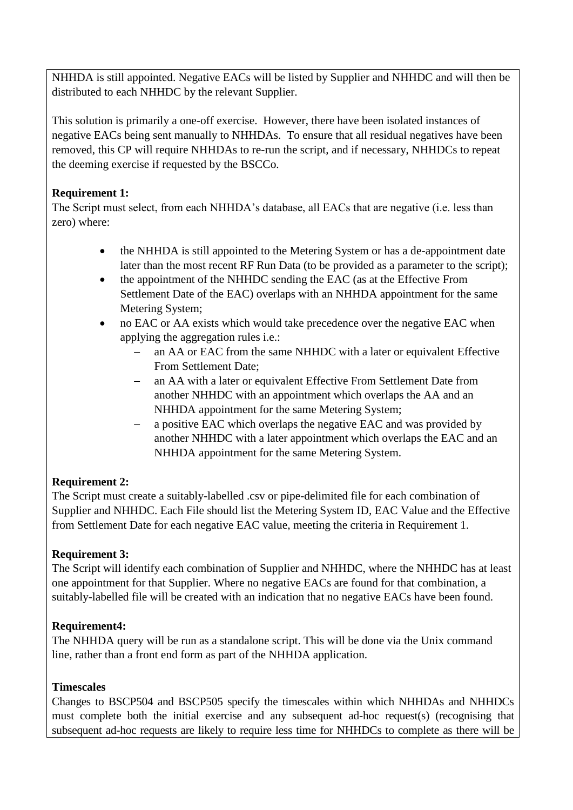NHHDA is still appointed. Negative EACs will be listed by Supplier and NHHDC and will then be distributed to each NHHDC by the relevant Supplier.

This solution is primarily a one-off exercise. However, there have been isolated instances of negative EACs being sent manually to NHHDAs. To ensure that all residual negatives have been removed, this CP will require NHHDAs to re-run the script, and if necessary, NHHDCs to repeat the deeming exercise if requested by the BSCCo.

### **Requirement 1:**

The Script must select, from each NHHDA's database, all EACs that are negative (i.e. less than zero) where:

- the NHHDA is still appointed to the Metering System or has a de-appointment date later than the most recent RF Run Data (to be provided as a parameter to the script);
- the appointment of the NHHDC sending the EAC (as at the Effective From Settlement Date of the EAC) overlaps with an NHHDA appointment for the same Metering System;
- no EAC or AA exists which would take precedence over the negative EAC when applying the aggregation rules i.e.:
	- an AA or EAC from the same NHHDC with a later or equivalent Effective From Settlement Date;
	- an AA with a later or equivalent Effective From Settlement Date from another NHHDC with an appointment which overlaps the AA and an NHHDA appointment for the same Metering System;
	- a positive EAC which overlaps the negative EAC and was provided by another NHHDC with a later appointment which overlaps the EAC and an NHHDA appointment for the same Metering System.

# **Requirement 2:**

The Script must create a suitably-labelled .csv or pipe-delimited file for each combination of Supplier and NHHDC. Each File should list the Metering System ID, EAC Value and the Effective from Settlement Date for each negative EAC value, meeting the criteria in Requirement 1.

# **Requirement 3:**

The Script will identify each combination of Supplier and NHHDC, where the NHHDC has at least one appointment for that Supplier. Where no negative EACs are found for that combination, a suitably-labelled file will be created with an indication that no negative EACs have been found.

# **Requirement4:**

The NHHDA query will be run as a standalone script. This will be done via the Unix command line, rather than a front end form as part of the NHHDA application.

### **Timescales**

Changes to BSCP504 and BSCP505 specify the timescales within which NHHDAs and NHHDCs must complete both the initial exercise and any subsequent ad-hoc request(s) (recognising that subsequent ad-hoc requests are likely to require less time for NHHDCs to complete as there will be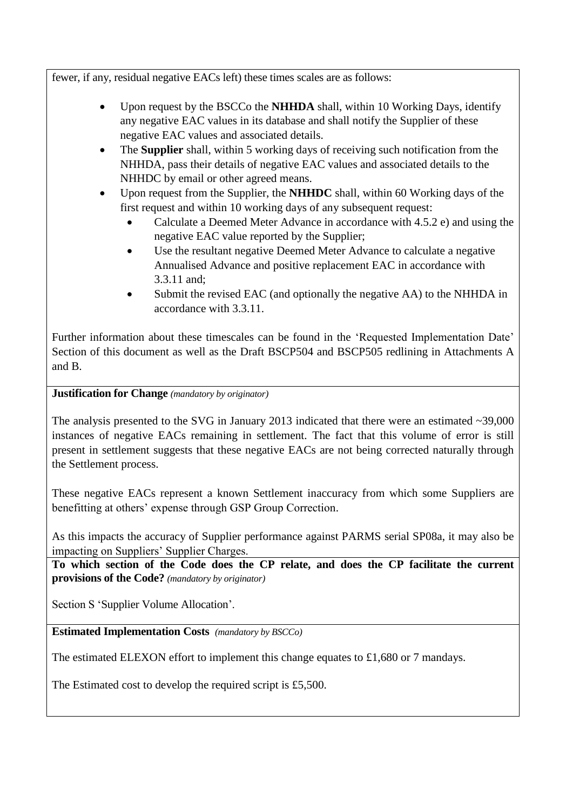fewer, if any, residual negative EACs left) these times scales are as follows:

- Upon request by the BSCCo the **NHHDA** shall, within 10 Working Days, identify any negative EAC values in its database and shall notify the Supplier of these negative EAC values and associated details.
- The **Supplier** shall, within 5 working days of receiving such notification from the NHHDA, pass their details of negative EAC values and associated details to the NHHDC by email or other agreed means.
- Upon request from the Supplier, the **NHHDC** shall, within 60 Working days of the first request and within 10 working days of any subsequent request:
	- Calculate a Deemed Meter Advance in accordance with 4.5.2 e) and using the negative EAC value reported by the Supplier;
	- Use the resultant negative Deemed Meter Advance to calculate a negative Annualised Advance and positive replacement EAC in accordance with 3.3.11 and;
	- Submit the revised EAC (and optionally the negative AA) to the NHHDA in accordance with 3.3.11.

Further information about these timescales can be found in the 'Requested Implementation Date' Section of this document as well as the Draft BSCP504 and BSCP505 redlining in Attachments A and B.

### **Justification for Change** *(mandatory by originator)*

The analysis presented to the SVG in January 2013 indicated that there were an estimated  $\sim$ 39,000 instances of negative EACs remaining in settlement. The fact that this volume of error is still present in settlement suggests that these negative EACs are not being corrected naturally through the Settlement process.

These negative EACs represent a known Settlement inaccuracy from which some Suppliers are benefitting at others' expense through GSP Group Correction.

As this impacts the accuracy of Supplier performance against PARMS serial SP08a, it may also be impacting on Suppliers' Supplier Charges.

**To which section of the Code does the CP relate, and does the CP facilitate the current provisions of the Code?** *(mandatory by originator)*

Section S 'Supplier Volume Allocation'.

**Estimated Implementation Costs** *(mandatory by BSCCo)*

The estimated ELEXON effort to implement this change equates to £1,680 or 7 mandays.

The Estimated cost to develop the required script is £5,500.